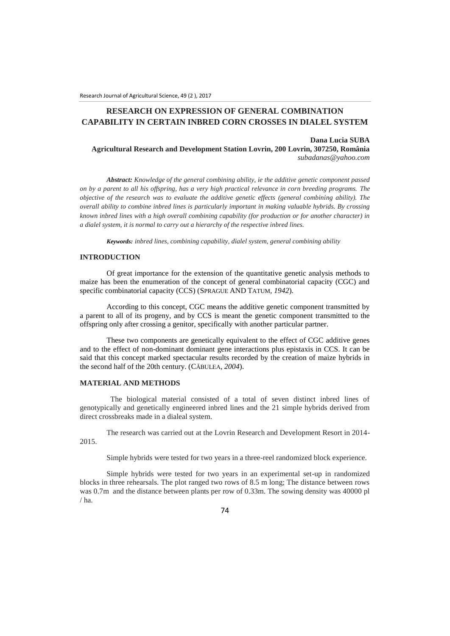# **RESEARCH ON EXPRESSION OF GENERAL COMBINATION CAPABILITY IN CERTAIN INBRED CORN CROSSES IN DIALEL SYSTEM**

#### **Dana Lucia SUBA Agricultural Research and Development Station Lovrin, 200 Lovrin, 307250, România** *subadanas@yahoo.com*

*Abstract: Knowledge of the general combining ability, ie the additive genetic component passed on by a parent to all his offspring, has a very high practical relevance in corn breeding programs. The objective of the research was to evaluate the additive genetic effects (general combining ability). The overall ability to combine inbred lines is particularly important in making valuable hybrids. By crossing known inbred lines with a high overall combining capability (for production or for another character) in a dialel system, it is normal to carry out a hierarchy of the respective inbred lines.*

*Keywords: inbred lines, combining capability, dialel system, general combining ability*

### **INTRODUCTION**

Of great importance for the extension of the quantitative genetic analysis methods to maize has been the enumeration of the concept of general combinatorial capacity (CGC) and specific combinatorial capacity (CCS) (SPRAGUE AND TATUM*, 1942*).

According to this concept, CGC means the additive genetic component transmitted by a parent to all of its progeny, and by CCS is meant the genetic component transmitted to the offspring only after crossing a genitor, specifically with another particular partner.

These two components are genetically equivalent to the effect of CGC additive genes and to the effect of non-dominant dominant gene interactions plus epistaxis in CCS. It can be said that this concept marked spectacular results recorded by the creation of maize hybrids in the second half of the 20th century. (CĂBULEA*, 2004*).

### **MATERIAL AND METHODS**

 The biological material consisted of a total of seven distinct inbred lines of genotypically and genetically engineered inbred lines and the 21 simple hybrids derived from direct crossbreaks made in a dialeal system.

The research was carried out at the Lovrin Research and Development Resort in 2014- 2015.

Simple hybrids were tested for two years in a three-reel randomized block experience.

Simple hybrids were tested for two years in an experimental set-up in randomized blocks in three rehearsals. The plot ranged two rows of 8.5 m long; The distance between rows was 0.7m and the distance between plants per row of 0.33m. The sowing density was 40000 pl  $/$  ha.

74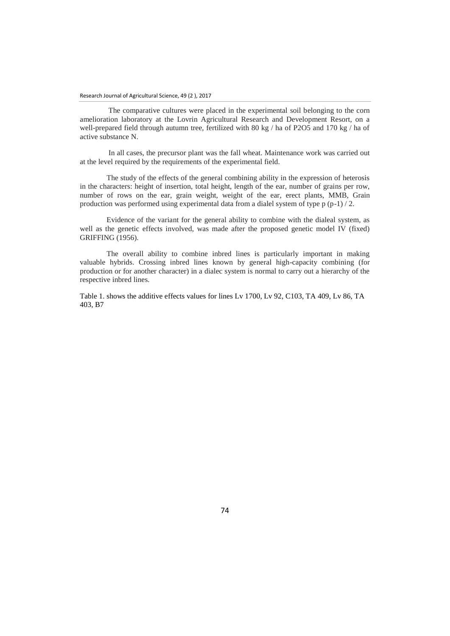The comparative cultures were placed in the experimental soil belonging to the corn amelioration laboratory at the Lovrin Agricultural Research and Development Resort, on a well-prepared field through autumn tree, fertilized with 80 kg / ha of P2O5 and 170 kg / ha of active substance N.

In all cases, the precursor plant was the fall wheat. Maintenance work was carried out at the level required by the requirements of the experimental field.

The study of the effects of the general combining ability in the expression of heterosis in the characters: height of insertion, total height, length of the ear, number of grains per row, number of rows on the ear, grain weight, weight of the ear, erect plants, MMB, Grain production was performed using experimental data from a dialel system of type p (p-1) / 2.

Evidence of the variant for the general ability to combine with the dialeal system, as well as the genetic effects involved, was made after the proposed genetic model IV (fixed) GRIFFING (1956).

The overall ability to combine inbred lines is particularly important in making valuable hybrids. Crossing inbred lines known by general high-capacity combining (for production or for another character) in a dialec system is normal to carry out a hierarchy of the respective inbred lines.

Table 1. shows the additive effects values for lines Lv 1700, Lv 92, C103, TA 409, Lv 86, TA 403, B7

74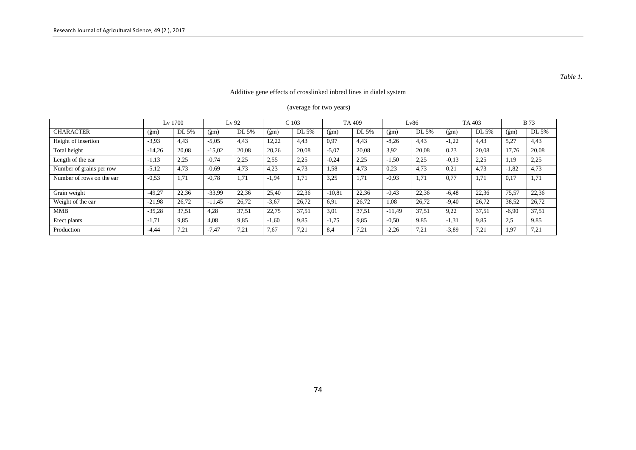# Additive gene effects of crosslinked inbred lines in dialel system

# (average for two years)

|                           | Lv 1700      |       | Lv 92        |       | C <sub>103</sub>       |       | TA 409                    |       | Lv86         |       | TA 403                         |       | <b>B</b> 73                |       |
|---------------------------|--------------|-------|--------------|-------|------------------------|-------|---------------------------|-------|--------------|-------|--------------------------------|-------|----------------------------|-------|
| <b>CHARACTER</b>          | $(\hat{g}m)$ | DL 5% | $(\hat{g}m)$ | DL 5% | $(\hat{\mathrm{g}}$ m) | DL 5% | $(\hat{\mathrm{g}}$ m $)$ | DL 5% | $(\hat{g}m)$ | DL 5% | $(\hat{\mathrm{g}}\mathrm{m})$ | DL 5% | $(\hat{\text{g}}\text{m})$ | DL 5% |
| Height of insertion       | $-3.93$      | 4,43  | $-5,05$      | 4,43  | 12,22                  | 4.43  | 0,97                      | 4,43  | $-8,26$      | 4.43  | $-1,22$                        | 4,43  | 5,27                       | 4,43  |
| Total height              | $-14,26$     | 20.08 | $-15,02$     | 20.08 | 20,26                  | 20.08 | $-5,07$                   | 20,08 | 3.92         | 20,08 | 0.23                           | 20,08 | 17,76                      | 20,08 |
| Length of the ear         | $-1,13$      | 2.25  | $-0.74$      | 2,25  | 2,55                   | 2,25  | $-0,24$                   | 2,25  | $-1.50$      | 2.25  | $-0.13$                        | 2,25  | 1,19                       | 2,25  |
| Number of grains per row  | $-5,12$      | 4,73  | $-0.69$      | 4.73  | 4,23                   | 4,73  | 1.58                      | 4,73  | 0.23         | 4,73  | 0.21                           | 4,73  | $-1,82$                    | 4,73  |
| Number of rows on the ear | $-0.53$      | 1.71  | $-0.78$      | 1.71  | $-1.94$                | 1.71  | 3,25                      | 1.71  | $-0.93$      | 1.71  | 0,77                           | 1.71  | 0,17                       | 1,71  |
| Grain weight              | $-49,27$     | 22,36 | $-33,99$     | 22,36 | 25,40                  | 22,36 | $-10,81$                  | 22,36 | $-0.43$      | 22,36 | $-6,48$                        | 22,36 | 75,57                      | 22,36 |
| Weight of the ear         | $-21,98$     | 26.72 | $-11.45$     | 26.72 | $-3.67$                | 26,72 | 6.91                      | 26,72 | 1.08         | 26.72 | $-9,40$                        | 26,72 | 38,52                      | 26,72 |
| <b>MMB</b>                | $-35,28$     | 37.51 | 4.28         | 37.51 | 22.75                  | 37,51 | 3,01                      | 37,51 | $-11.49$     | 37.51 | 9,22                           | 37,51 | $-6,90$                    | 37,51 |
| Erect plants              | $-1,71$      | 9.85  | 4,08         | 9.85  | $-1,60$                | 9.85  | $-1,75$                   | 9,85  | $-0,50$      | 9.85  | $-1,31$                        | 9,85  | 2,5                        | 9,85  |
| Production                | $-4,44$      | 7.21  | $-7,47$      | 7,21  | 7,67                   | 7.21  | 8.4                       | 7,21  | $-2,26$      | 7,21  | $-3,89$                        | 7.21  | 1,97                       | 7,21  |

### *Table 1***.**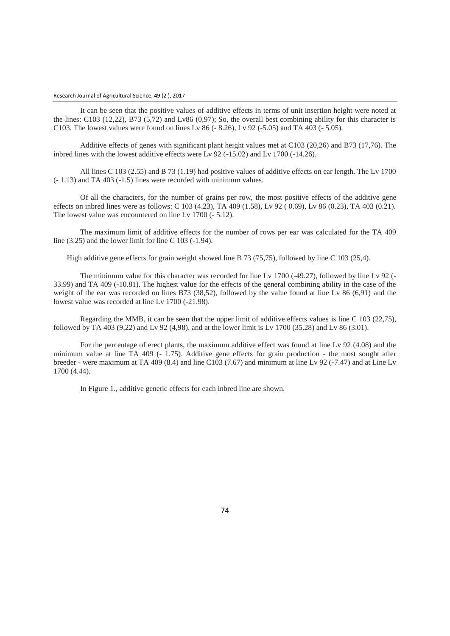#### Research Journal of Agricultural Science, 49 (2 ), 2017

It can be seen that the positive values of additive effects in terms of unit insertion height were noted at the lines: C103 (12,22), B73 (5,72) and Lv86 (0,97); So, the overall best combining ability for this character is C103. The lowest values were found on lines Lv 86 (- 8.26), Lv 92 (-5.05) and TA 403 (- 5.05).

Additive effects of genes with significant plant height values met at C103 (20,26) and B73 (17,76). The inbred lines with the lowest additive effects were  $Lv$  92 (-15.02) and Ly 1700 (-14.26).

All lines C 103 (2.55) and B 73 (1.19) had positive values of additive effects on ear length. The Lv 1700 (- 1.13) and TA 403 (-1.5) lines were recorded with minimum values.

Of all the characters, for the number of grains per row, the most positive effects of the additive gene effects on inbred lines were as follows: C 103 (4.23), TA 409 (1.58), Lv 92 ( 0.69), Lv 86 (0.23), TA 403 (0.21). The lowest value was encountered on line Lv 1700 (- 5.12).

The maximum limit of additive effects for the number of rows per ear was calculated for the TA 409 line (3.25) and the lower limit for line C 103 (-1.94).

High additive gene effects for grain weight showed line B 73 (75,75), followed by line C 103 (25,4).

The minimum value for this character was recorded for line Lv 1700 (-49.27), followed by line Lv 92 (- 33.99) and TA 409 (-10.81). The highest value for the effects of the general combining ability in the case of the weight of the ear was recorded on lines B73 (38,52), followed by the value found at line Lv 86 (6,91) and the lowest value was recorded at line Lv 1700 (-21.98).

Regarding the MMB, it can be seen that the upper limit of additive effects values is line C 103 (22,75), followed by TA 403 (9,22) and Lv 92 (4,98), and at the lower limit is Lv 1700 (35.28) and Lv 86 (3.01).

For the percentage of erect plants, the maximum additive effect was found at line Lv 92 (4.08) and the minimum value at line TA 409 (- 1.75). Additive gene effects for grain production - the most sought after breeder - were maximum at TA 409 (8.4) and line C103 (7.67) and minimum at line Lv 92 (-7.47) and at Line Lv 1700 (4.44).

In Figure 1., additive genetic effects for each inbred line are shown.

74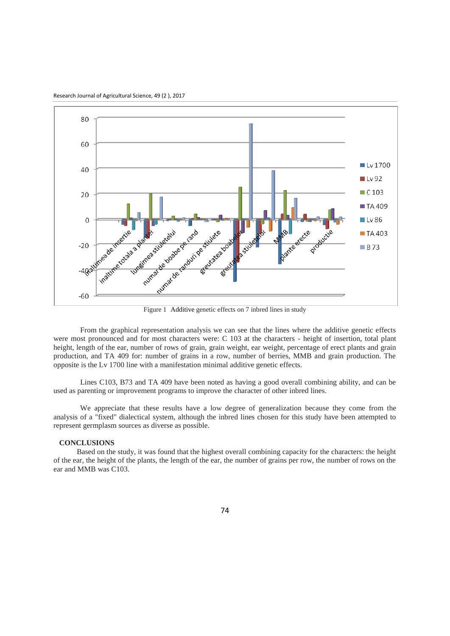Research Journal of Agricultural Science, 49 (2 ), 2017



From the graphical representation analysis we can see that the lines where the additive genetic effects were most pronounced and for most characters were: C 103 at the characters - height of insertion, total plant height, length of the ear, number of rows of grain, grain weight, ear weight, percentage of erect plants and grain production, and TA 409 for: number of grains in a row, number of berries, MMB and grain production. The opposite is the Lv 1700 line with a manifestation minimal additive genetic effects.

Lines C103, B73 and TA 409 have been noted as having a good overall combining ability, and can be used as parenting or improvement programs to improve the character of other inbred lines.

We appreciate that these results have a low degree of generalization because they come from the analysis of a "fixed" dialectical system, although the inbred lines chosen for this study have been attempted to represent germplasm sources as diverse as possible.

#### **CONCLUSIONS**

Based on the study, it was found that the highest overall combining capacity for the characters: the height of the ear, the height of the plants, the length of the ear, the number of grains per row, the number of rows on the ear and MMB was C103.